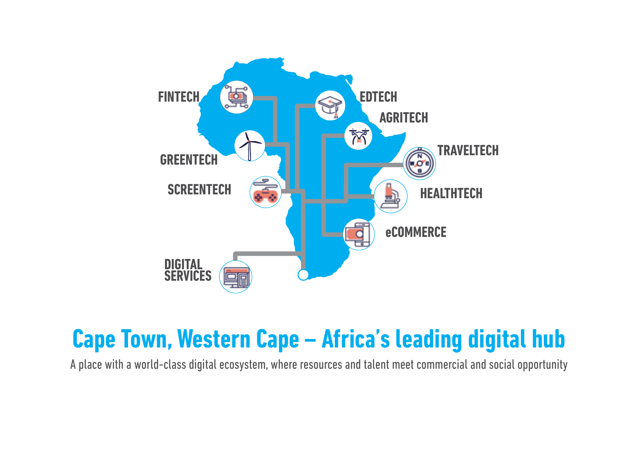

### **Cape Town, Western Cape – Africa's leading digital hub**

A place with a world-class digital ecosystem, where resources and talent meet commercial and social opportunity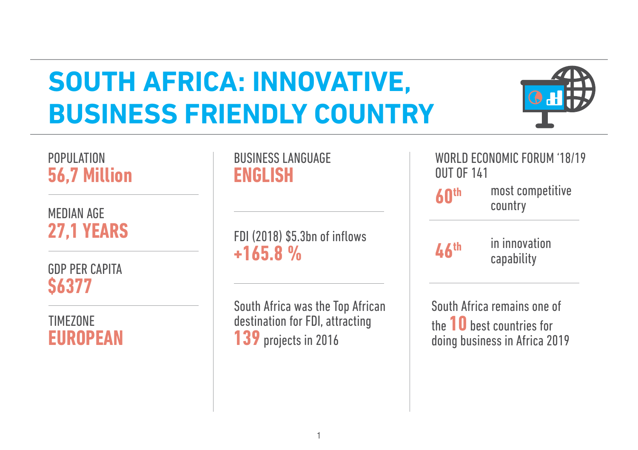## **SOUTH AFRICA: INNOVATIVE, BUSINESS FRIENDLY COUNTRY**



#### POPULATION **56,7 Million**

MEDIAN AGE **27,1 YEARS** 

GDP PER CAPITA **\$6377** 

#### **TIMEZONE EUROPEAN**

BUSINESS LANGUAGE **ENGLISH**

FDI (2018) \$5.3bn of inflows **+165.8 %**

South Africa was the Top African destination for FDI, attracting **139** projects in 2016

WORLD ECONOMIC FORUM '18/19 OUT OF 141 most competitive country in innovation **60th 46th**

capability

South Africa remains one of the **10** best countries for doing business in Africa 2019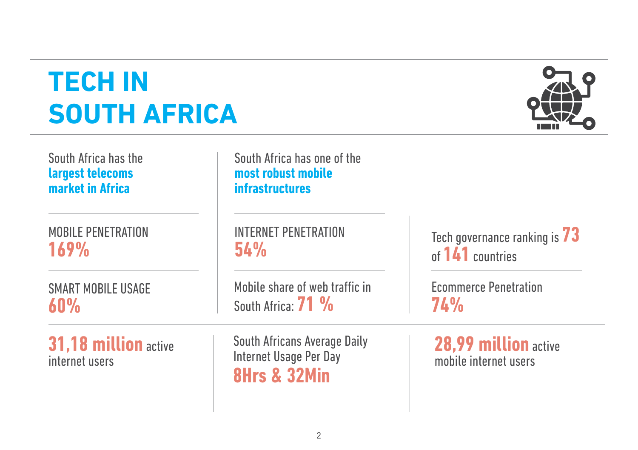## **TECH IN SOUTH AFRICA**



| South Africa has the<br>largest telecoms<br>market in Africa | South Africa has one of the<br>most robust mobile<br><b>infrastructures</b>       |                                               |
|--------------------------------------------------------------|-----------------------------------------------------------------------------------|-----------------------------------------------|
| <b>MOBILE PENETRATION</b>                                    | <b>INTERNET PENETRATION</b>                                                       | Tech governance ranking is $73$               |
| 169%                                                         | <b>54%</b>                                                                        | of 141 countries                              |
| <b>SMART MOBILE USAGE</b>                                    | Mobile share of web traffic in                                                    | <b>Ecommerce Penetration</b>                  |
| 60%                                                          | South Africa: 71 %                                                                | 74%                                           |
| 31,18 million active<br>internet users                       | South Africans Average Daily<br>Internet Usage Per Day<br><b>8Hrs &amp; 32Min</b> | 28,99 million active<br>mobile internet users |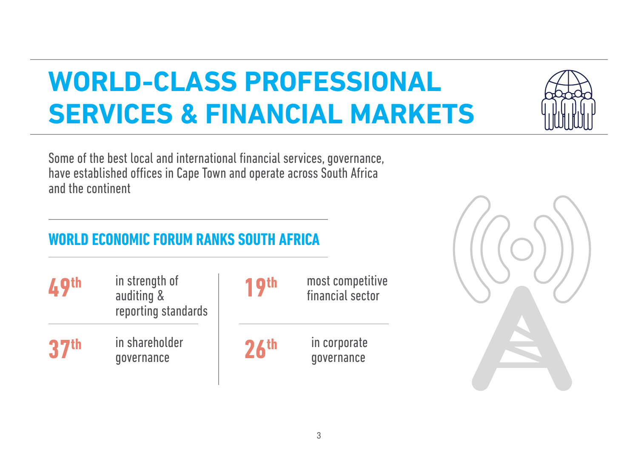## **WORLD-CLASS PROFESSIONAL SERVICES & FINANCIAL MARKETS**

Some of the best local and international financial services, governance, have established offices in Cape Town and operate across South Africa and the continent

#### **WORLD ECONOMIC FORUM RANKS SOUTH AFRICA**

| <b>A</b> 9th     | in strength of<br>auditing &<br>reporting standards | 1 9th            | most competitive<br>financial sector |
|------------------|-----------------------------------------------------|------------------|--------------------------------------|
| 37 <sup>th</sup> | in shareholder<br>governance                        | 26 <sup>th</sup> | in corporate<br>qovernance           |



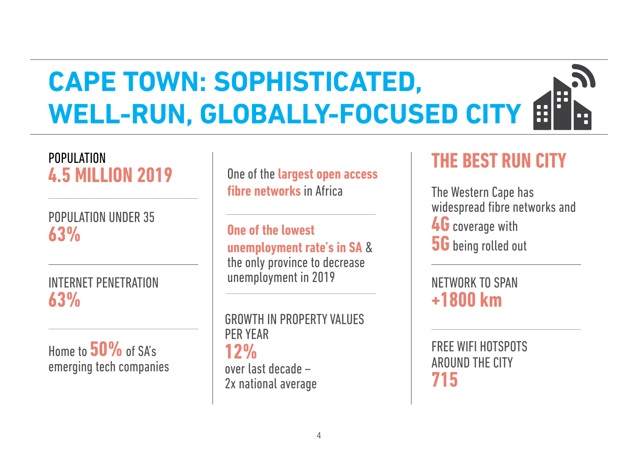#### **CAPE TOWN: SOPHISTICATED,**  H **WELL-RUN, GLOBALLY-FOCUSED CITY** H

# POPULATION

POPULATION UNDER 35 **63%**

INTERNET PENETRATION **63%** 

Home to **50%**of SA's emerging tech companies

**4.5 MILLION 2019** One of the **largest open access** 

**One of the lowest unemployment rate's in SA** & the only province to decrease unemployment in 2019

GROWTH IN PROPERTY VALUES PER YEAR **12%**  over last decade – 2x national average

#### **THE BEST RUN CITY**

**The Western Cape has** widespread fibre networks and **4G** coverage with **5G** being rolled out

NETWORK TO SPAN **+1800 km**

FREE WIFI HOTSPOTS AROUND THE CITY **715**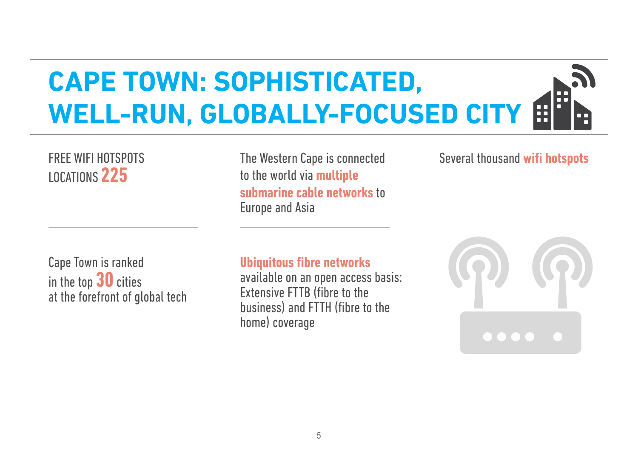#### **CAPE TOWN: SOPHISTICATED,**  Æ **WELL-RUN, GLOBALLY-FOCUSED CITY**H

# LOCATIONS **225**

The Western Cape is connected FREE WIFI HOTSPOTS Several thousand **wifi hotspots** to the world via **multiple submarine cable networks** to Europe and Asia

Cape Town is ranked in the top **30** cities at the forefront of global tech **Ubiquitous fibre networks**

available on an open access basis: Extensive FTTB (fibre to the business) and FTTH (fibre to the home) coverage

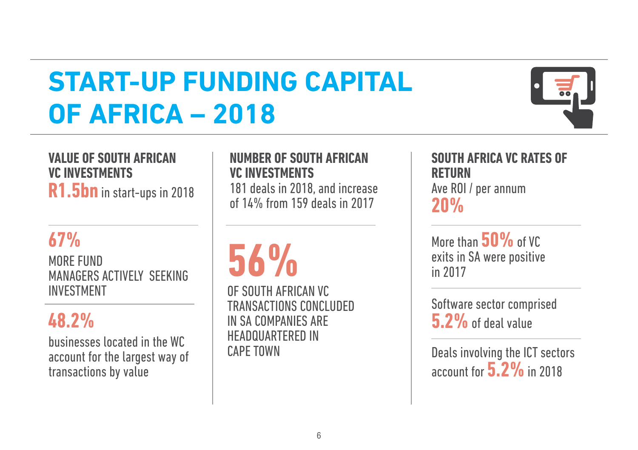## **START-UP FUNDING CAPITAL OF AFRICA – 2018**



#### **VALUE OF SOUTH AFRICAN VC INVESTMENTS**

**R1.5bn** in start-ups in 2018

#### **67%**

MORE FUND MANAGERS ACTIVELY SEEKING INVESTMENT

#### **48.2%**

businesses located in the WC account for the largest way of transactions by value

#### **NUMBER OF SOUTH AFRICAN VC INVESTMENTS**

181 deals in 2018, and increase of 14% from 159 deals in 2017

# **56%**

OF SOUTH AFRICAN VC TRANSACTIONS CONCLUDED IN SA COMPANIES ARE HEADQUARTERED IN CAPE TOWN

#### **SOUTH AFRICA VC RATES OF RETURN**  Ave ROI / per annum **20%**

More than **50%** of VC exits in SA were positive in 2017

Software sector comprised **5.2%**of deal value

Deals involving the ICT sectors account for **5.2%**in 2018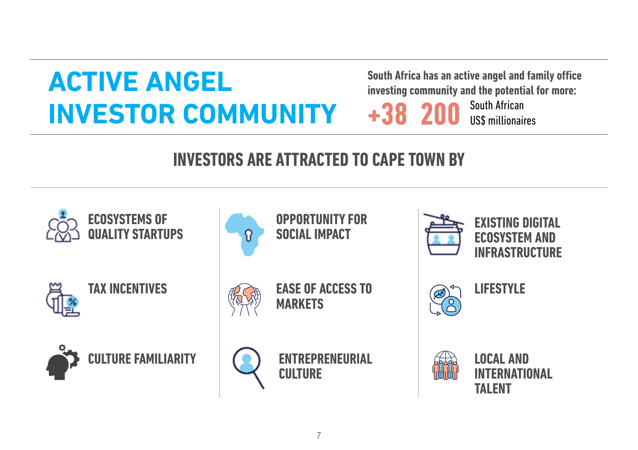## **ACTIVE ANGEL INVESTOR COMMUNITY**

**South Africa has an active angel and family office investing community and the potential for more:** 

South African US\$ millionaires **+38 200**

#### **INVESTORS ARE ATTRACTED TO CAPE TOWN BY**

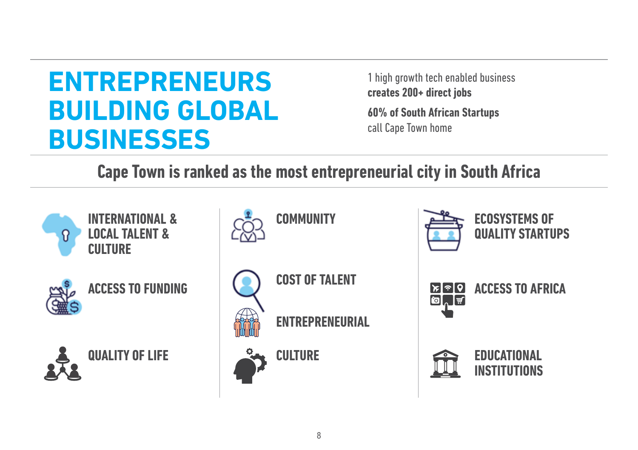### **ENTREPRENEURS BUILDING GLOBAL BUSINESSES**

1 high growth tech enabled business **creates 200+ direct jobs** 

**60% of South African Startups**  call Cape Town home

**Cape Town is ranked as the most entrepreneurial city in South Africa**



**INTERNATIONAL & LOCAL TALENT & CULTURE**



**ACCESS TO FUNDING** 





**COMMUNITY** 



**ENTREPRENEURIAL** 

**COST OF TALENT**



**ECOSYSTEMS OF QUALITY STARTUPS**



**ACCESS TO AFRICA**

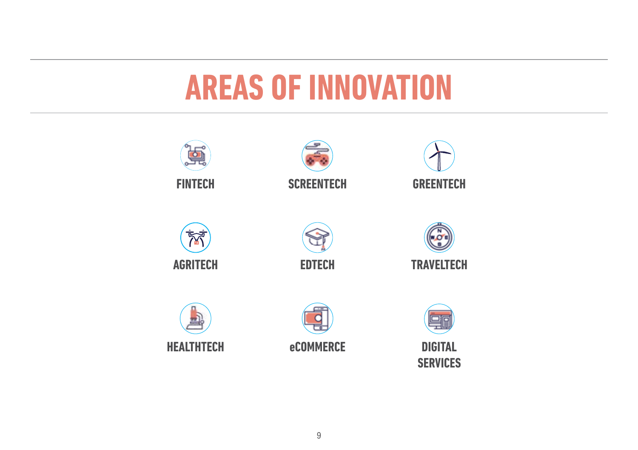# **AREAS OF INNOVATION**

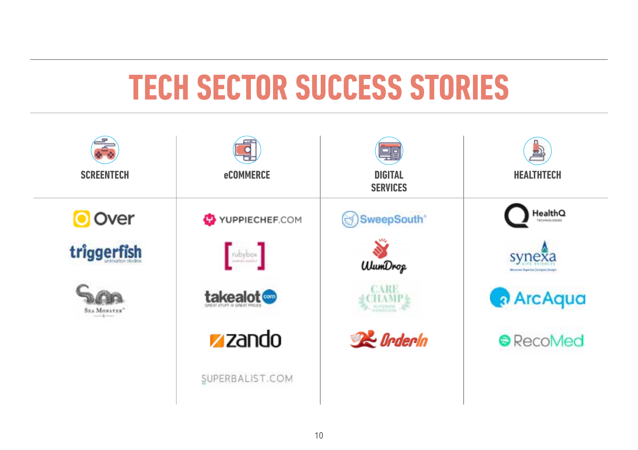# **TECH SECTOR SUCCESS STORIES**

|                            |                         | 목百                                |                                                       |
|----------------------------|-------------------------|-----------------------------------|-------------------------------------------------------|
| <b>SCREENTECH</b>          | <b>eCOMMERCE</b>        | <b>DIGITAL</b><br><b>SERVICES</b> | <b>HEALTHTECH</b>                                     |
| <b>O</b> Over              | YUPPIECHEF.COM          | SweepSouth <sup>*</sup>           | $\mathsf{HealthQ}\xspace_{\mathsf{noncons}}$          |
| triggerfish                | $\boxed{\text{nbybox}}$ | <b>WumDrop</b>                    | synexa<br><b>Blooming Equative Livelyers (Sreight</b> |
| $S_{\mathbb{R}A}$ Mosstar" | takealot @              | CARE                              | <b>ArcAqua</b>                                        |
|                            | <b>z</b> zando          | <b>R</b> e Orderla                | <b>RecoMed</b>                                        |
|                            | SUPERBALIST.COM         |                                   |                                                       |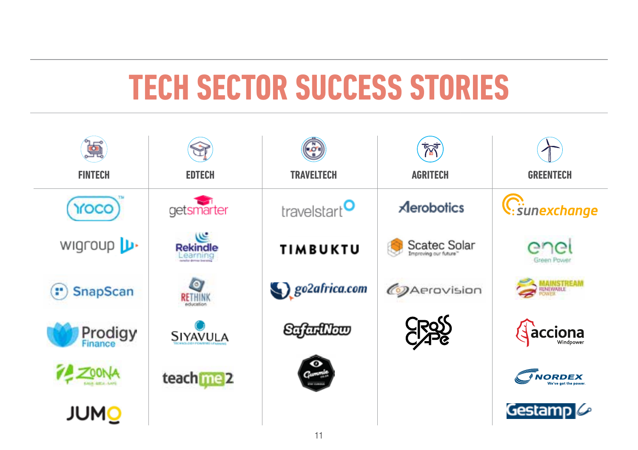# **TECH SECTOR SUCCESS STORIES**

| 臭                |                                    |                          | ŔŤ.                |                       |
|------------------|------------------------------------|--------------------------|--------------------|-----------------------|
| <b>FINTECH</b>   | <b>EDTECH</b>                      | <b>TRAVELTECH</b>        | <b>AGRITECH</b>    | <b>GREENTECH</b>      |
| YOCO             | getsmarter                         | travelstart <sup>O</sup> | <b>Aerobotics</b>  | C: sunexchange        |
| wigroup <b>L</b> | عیبی<br><b>Rekindle</b><br>earning | <b>TIMBUKTU</b>          | Scatec Solar       | enei<br>Green Power   |
| (") SnapScan     | $\circ$<br>RETHINK                 | go2africa.com            | <b>@Aerovision</b> | <b>MAINSTREAM</b>     |
| <b>Prodigy</b>   | SIYAVULA                           | Safarillow               |                    | <b>Acciona</b>        |
|                  | teach me 2                         | $\bullet$                |                    | <b><i>INORDEX</i></b> |
| <b>JUMO</b>      |                                    |                          |                    | Gestamp $\mathscr O$  |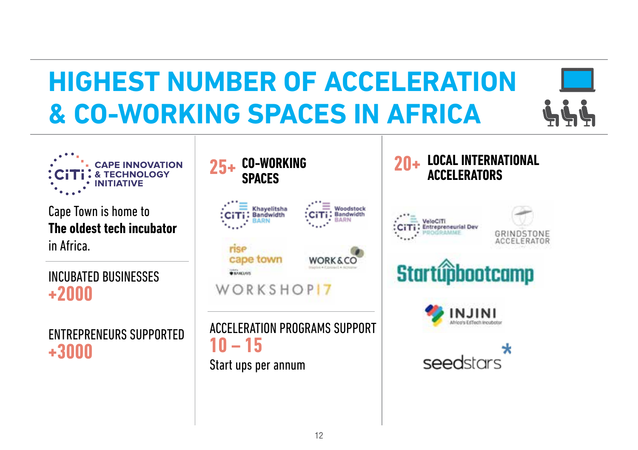# **HIGHEST NUMBER OF ACCELERATION & CO-WORKING SPACES IN AFRICA**





Cape Town is home to **The oldest tech incubator** in Africa.

INCUBATED BUSINESSES **+2000**

ENTREPRENEURS SUPPORTED **+3000**



#### **LOCAL INTERNATIONAL ACCELERATORS**







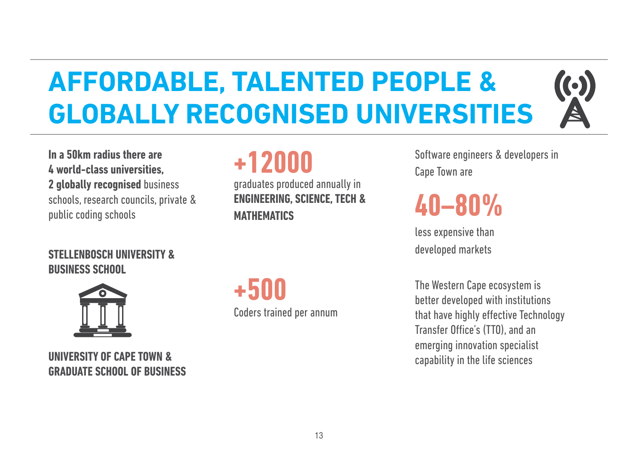# **AFFORDABLE, TALENTED PEOPLE & GLOBALLY RECOGNISED UNIVERSITIES**

**In a 50km radius there are 4 world-class universities, 2 globally recognised** business schools, research councils, private & public coding schools

### **+12000**

graduates produced annually in **ENGINEERING, SCIENCE, TECH & MATHEMATICS**

Software engineers & developers in Cape Town are

 $\left(\text{\textdegree}\right)$ 

### **40–80%**

less expensive than developed markets

The Western Cape ecosystem is better developed with institutions that have highly effective Technology Transfer Office's (TTO), and an emerging innovation specialist capability in the life sciences

#### **STELLENBOSCH UNIVERSITY & BUSINESS SCHOOL**



**UNIVERSITY OF CAPE TOWN & GRADUATE SCHOOL OF BUSINESS** Coders trained per annum **+500**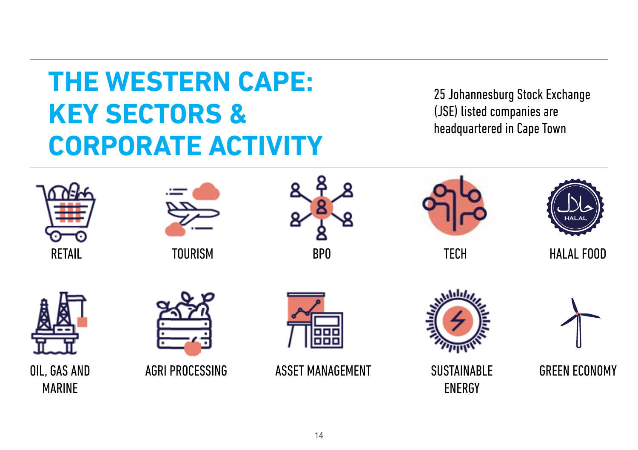## **THE WESTERN CAPE: KEY SECTORS & CORPORATE ACTIVITY**

25 Johannesburg Stock Exchange (JSE) listed companies are headquartered in Cape Town





**TOURISM** 





TECH



HALAL FOOD





AGRI PROCESSING



ASSET MANAGEMENT



SUSTAINABLE ENERGY

GREEN ECONOMY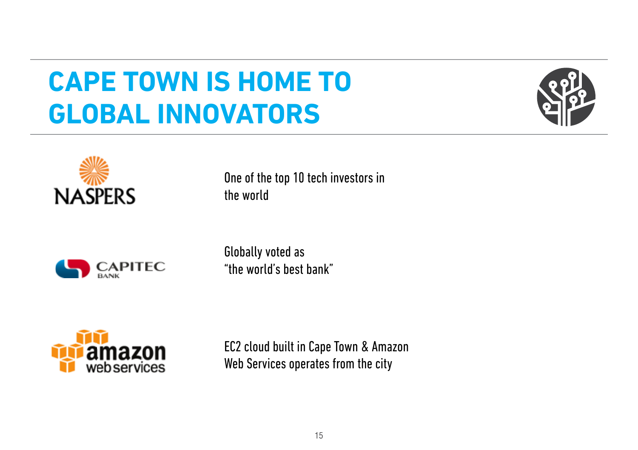### **CAPE TOWN IS HOME TO GLOBAL INNOVATORS**





**CAPITEC** 

One of the top 10 tech investors in the world

Globally voted as "the world's best bank"



EC2 cloud built in Cape Town & Amazon Web Services operates from the city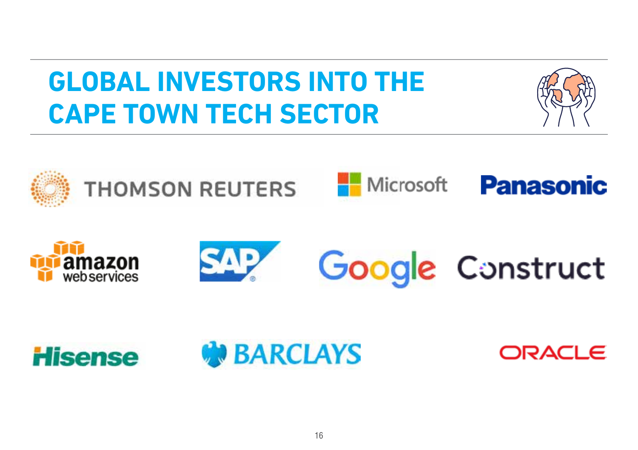## **GLOBAL INVESTORS INTO THE CAPE TOWN TECH SECTOR**



















ORACLE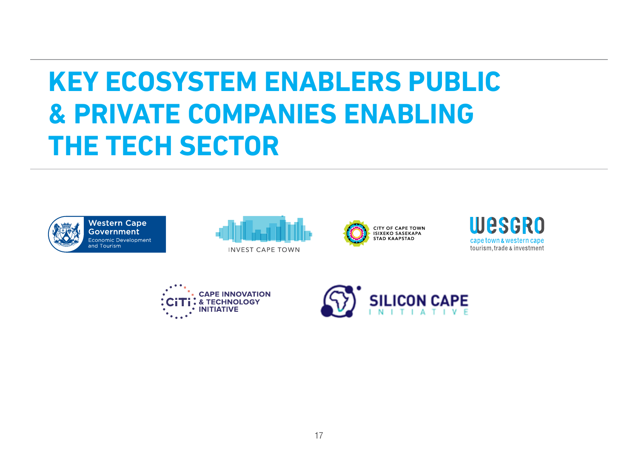## **KEY ECOSYSTEM ENABLERS PUBLIC & PRIVATE COMPANIES ENABLING THE TECH SECTOR**